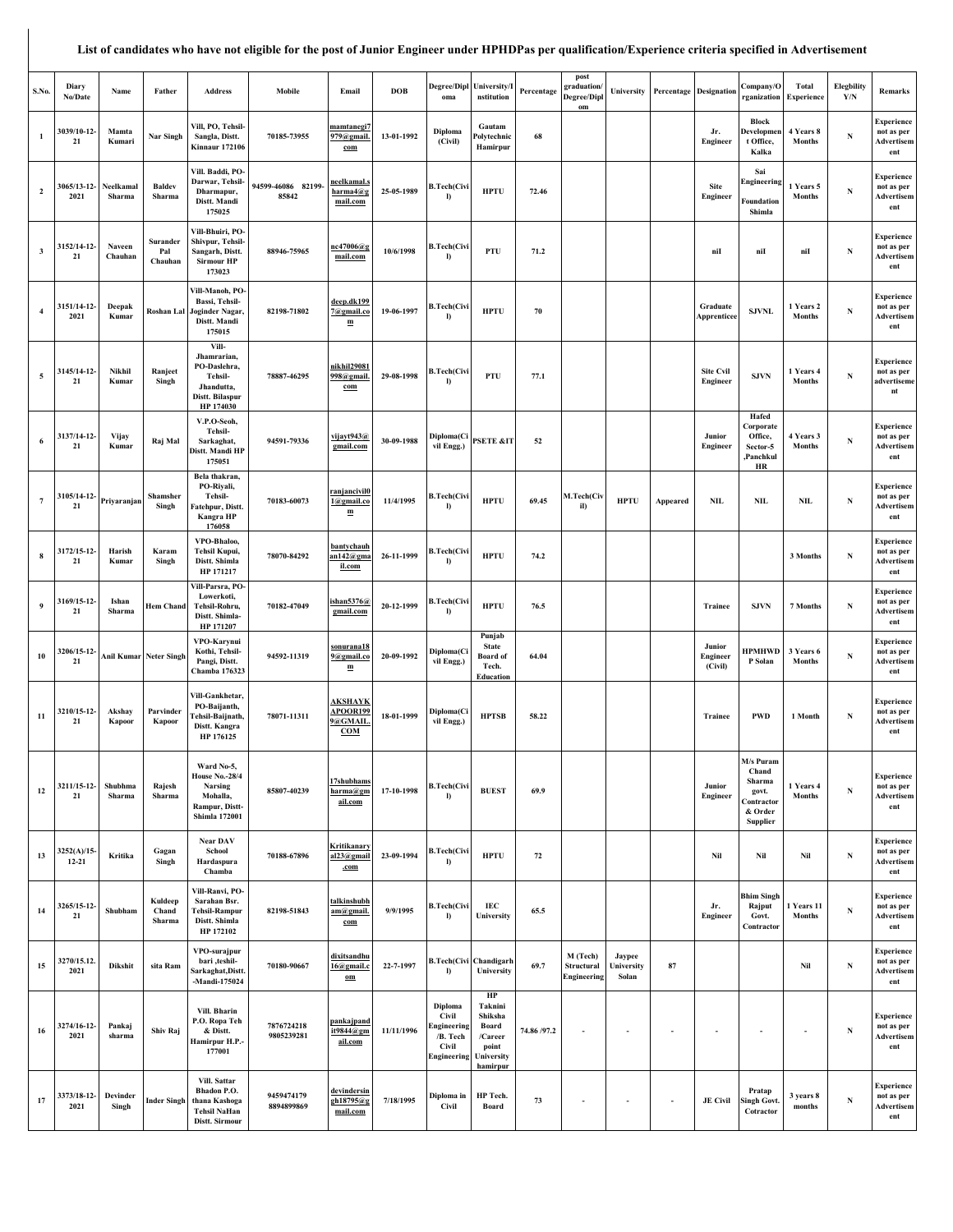## **List of candidates who have not eligible for the post of Junior Engineer under HPHDPas per qualification/Experience criteria specified in Advertisement**

| S.No.                   | Diary<br>No/Date         | Name                | Father                     | <b>Address</b>                                                                                       | Mobile                      | Email                                                            | <b>DOB</b> | oma                                                                 | Degree/Dipl University/I<br>nstitution                                          | Percentage  | post<br>graduation/<br>Degree/Dipl<br>om | University                    |          | <b>Percentage Designation</b>       | Company/O<br>rganization                                                   | Total<br>Experience         | <b>Elegbility</b><br>Y/N | Remarks                                              |
|-------------------------|--------------------------|---------------------|----------------------------|------------------------------------------------------------------------------------------------------|-----------------------------|------------------------------------------------------------------|------------|---------------------------------------------------------------------|---------------------------------------------------------------------------------|-------------|------------------------------------------|-------------------------------|----------|-------------------------------------|----------------------------------------------------------------------------|-----------------------------|--------------------------|------------------------------------------------------|
| $\mathbf{1}$            | 3039/10-12-<br>21        | Mamta<br>Kumari     | Nar Singh                  | Vill, PO, Tehsil-<br>Sangla, Distt.<br><b>Kinnaur 172106</b>                                         | 70185-73955                 | <u>mamtanegi7</u><br>79@gmail.<br>com                            | 13-01-1992 | Diploma<br>(Civil)                                                  | Gautam<br>Polytechnic<br>Hamirpur                                               | 68          |                                          |                               |          | Jr.<br>Engineer                     | <b>Block</b><br>Developmen<br>t Office,<br>Kalka                           | 4 Years 8<br>Months         | N                        | Experience<br>not as per<br>Advertisem<br>ent        |
| $\overline{\mathbf{c}}$ | 3065/13-12-<br>2021      | Neelkamal<br>Sharma | <b>Baldev</b><br>Sharma    | Vill. Baddi, PO-<br>Darwar, Tehsil-<br>Dharmapur,<br>Distt. Mandi<br>175025                          | 94599-46086 82199-<br>85842 | neelkamal.s<br>harma4@g<br>mail.com                              | 25-05-1989 | <b>B.Tech(Civ</b><br>I)                                             | <b>HPTU</b>                                                                     | 72.46       |                                          |                               |          | <b>Site</b><br><b>Engineer</b>      | Sai<br>Engineering<br>Foundation<br>Shimla                                 | 1 Years 5<br>Months         | N                        | Experience<br>not as per<br>Advertisem<br>ent        |
| $\overline{\mathbf{3}}$ | 3152/14-12-<br>21        | Naveen<br>Chauhan   | Surander<br>Pal<br>Chauhan | Vill-Bhuiri, PO-<br>Shivpur, Tehsil-<br>Sangarh, Distt.<br><b>Sirmour HP</b><br>173023               | 88946-75965                 | nc47006@s<br>mail.com                                            | 10/6/1998  | <b>B.Tech(Civi</b><br>Ð                                             | PTU                                                                             | 71.2        |                                          |                               |          | niI                                 | niI                                                                        | niI                         | ${\bf N}$                | Experience<br>not as per<br>Advertisem<br>ent        |
| $\overline{4}$          | 3151/14-12-<br>2021      | Deepak<br>Kumar     | Roshan Lal                 | Vill-Manoh, PO-<br>Bassi, Tehsil-<br>Joginder Nagar,<br>Distt. Mandi<br>175015                       | 82198-71802                 | deep.dk199<br>@gmail.co<br>$\mathbf m$                           | 19-06-1997 | <b>B.Tech(Civ</b><br>I)                                             | <b>HPTU</b>                                                                     | 70          |                                          |                               |          | Graduate<br>Apprenticee             | <b>SJVNL</b>                                                               | 1 Years 2<br><b>Months</b>  | N                        | Experience<br>not as per<br>Advertisem<br>ent        |
| $\sqrt{5}$              | 3145/14-12-<br>21        | Nikhil<br>Kumar     | Ranjeet<br>Singh           | Vill-<br>Jhamrarian,<br>PO-Daslehra,<br>Tehsil-<br>Jhandutta,<br>Distt. Bilaspur<br>HP 174030        | 78887-46295                 | nikhil29081<br>998@gmail.<br>com                                 | 29-08-1998 | <b>B.Tech(Civi</b><br>I)                                            | PTU                                                                             | 77.1        |                                          |                               |          | <b>Site Cvil</b><br><b>Engineer</b> | <b>SJVN</b>                                                                | 1 Years 4<br><b>Months</b>  | $\mathbf N$              | Experience<br>not as per<br>advertiseme<br>nt        |
| 6                       | 3137/14-12-<br>21        | Vijay<br>Kumar      | Raj Mal                    | V.P.O-Seoh,<br>Tehsil-<br>Sarkaghat,<br>Distt. Mandi HP<br>175051                                    | 94591-79336                 | vijavt943@<br>gmail.com                                          | 30-09-1988 | Diploma(Ci<br>vil Engg.)                                            | <b>PSETE &amp;IT</b>                                                            | 52          |                                          |                               |          | Junior<br>Engineer                  | Hafed<br>Corporate<br>Office,<br>Sector-5<br>Panchkul,<br>HR               | 4 Years 3<br><b>Months</b>  | N                        | Experience<br>not as per<br>Advertisem<br>ent        |
| $7\phantom{.0}$         | 3105/14-12-<br>21        | Priyaranjan         | Shamsher<br>Singh          | Bela thakran,<br>PO-Riyali,<br>Tehsil-<br>Fatehpur, Distt.<br>Kangra HP<br>176058                    | 70183-60073                 | ranjancivil0<br>1@gmail.co<br>ш                                  | 11/4/1995  | <b>B.Tech(Civi</b><br>I)                                            | <b>HPTU</b>                                                                     | 69.45       | M.Tech(Civ<br>il)                        | <b>HPTU</b>                   | Appeared | <b>NIL</b>                          | <b>NIL</b>                                                                 | <b>NIL</b>                  | N                        | Experience<br>not as per<br>Advertisem<br>ent        |
| 8                       | 3172/15-12-<br>21        | Harish<br>Kumar     | Karam<br>Singh             | VPO-Bhaloo,<br>Tehsil Kupui,<br>Distt. Shimla<br>HP 171217                                           | 78070-84292                 | <u>bantychauh</u><br>$n142$ @gma<br>il.com                       | 26-11-1999 | <b>B.Tech(Civ</b><br>I)                                             | <b>HPTU</b>                                                                     | 74.2        |                                          |                               |          |                                     |                                                                            | 3 Months                    | N                        | Experience<br>not as per<br>Advertisem<br>ent        |
| 9                       | 3169/15-12-<br>21        | Ishan<br>Sharma     | <b>Hem Chand</b>           | ill-Parsra, PO-<br>Lowerkoti,<br>Tehsil-Rohru,<br>Distt. Shimla-<br>HP 171207                        | 70182-47049                 | shan5376 $@$<br>gmail.com                                        | 20-12-1999 | <b>B.Tech(Civi</b><br>I)                                            | <b>HPTU</b>                                                                     | 76.5        |                                          |                               |          | Trainee                             | <b>SJVN</b>                                                                | 7 Months                    | N                        | Experience<br>not as per<br>Advertisem<br>ent        |
| 10                      | 3206/15-12<br>21         |                     | Anil Kumar Neter Singh     | VPO-Karynui<br>Kothi, Tehsil-<br>Pangi, Distt.<br>Chamba 176323                                      | 94592-11319                 | <u>sonurana18</u><br>9@gmail.co<br>$\mathbf m$                   | 20-09-1992 | Diploma(Ci<br>vil Engg.)                                            | Punjab<br><b>State</b><br><b>Board</b> of<br>Tech.<br>Education                 | 64.04       |                                          |                               |          | Junior<br>Engineer<br>(Civil)       | <b>HPMHWD</b><br>P Solan                                                   | 3 Years 6<br><b>Months</b>  | N                        | Experience<br>not as per<br>Advertisem<br>ent        |
| 11                      | 3210/15-12-<br>21        | Akshay<br>Kapoor    | Parvinder<br>Kapoor        | Vill-Gankhetar,<br>PO-Baijanth,<br>Tehsil-Baijnath,<br>Distt. Kangra<br>HP 176125                    | 78071-11311                 | <b>AKSHAYK</b><br><b>APOOR199</b><br>@GMAIL<br>COM               | 18-01-1999 | Diploma(Ci<br>vil Engg.)                                            | <b>HPTSB</b>                                                                    | 58.22       |                                          |                               |          | Trainee                             | <b>PWD</b>                                                                 | 1 Month                     | N                        | Experience<br>not as per<br>Advertisem<br>ent        |
| 12                      | 3211/15-12-<br>21        | Shubhma<br>Sharma   | Rajesh<br>Sharma           | Ward No-5,<br><b>House No.-28/4</b><br>Narsing<br>Mohalla,<br>Rampur, Distt-<br><b>Shimla 172001</b> | 85807-40239                 | 7shubhams<br>arma@gm<br>ail.com                                  | 17-10-1998 | <b>B.Tech(Civi</b><br>I)                                            | <b>BUEST</b>                                                                    | 69.9        |                                          |                               |          | Junior<br>Engineer                  | M/s Puram<br>Chand<br>Sharma<br>govt.<br>Contractor<br>& Order<br>Supplier | 1 Years 4<br><b>Months</b>  | N                        | <b>Experience</b><br>not as per<br>Advertisem<br>ent |
| 13                      | 3252(A)/15-<br>$12 - 21$ | Kritika             | Gagan<br>Singh             | Near DAV<br>School<br>Hardaspura<br>Chamba                                                           | 70188-67896                 | Kritikanary<br>$a123$ @gmail<br>.com                             | 23-09-1994 | <b>B.Tech(Civi</b><br>I)                                            | <b>HPTU</b>                                                                     | 72          |                                          |                               |          | Nil                                 | Nil                                                                        | Nil                         | ${\bf N}$                | Experience<br>not as per<br>Advertisem<br>ent        |
| 14                      | 3265/15-12-<br>21        | Shubham             | Kuldeep<br>Chand<br>Sharma | Vill-Ranvi, PO-<br>Sarahan Bsr.<br><b>Tehsil-Rampur</b><br>Distt. Shimla<br>HP 172102                | 82198-51843                 | talkinshubh<br>am@gmail.<br>$\underline{\mathrm{com}}$           | 9/9/1995   | <b>B.Tech(Civi</b><br>I)                                            | IEC<br>University                                                               | 65.5        |                                          |                               |          | Jr.<br>Engineer                     | <b>Bhim Singh</b><br>Rajput<br>Govt.<br>Contractor                         | 1 Years 11<br><b>Months</b> | N                        | Experience<br>not as per<br>Advertisem<br>ent        |
| 15                      | 3270/15.12.<br>2021      | Dikshit             | sita Ram                   | VPO-surajpur<br>bari ,teshil-<br>Sarkaghat, Distt.<br>$-Mandi-175024$                                | 70180-90667                 | <u>dixitsandhu</u><br>$16@$ gmail.c<br>$\underline{\mathbf{om}}$ | 22-7-1997  | <b>B.Tech(Civi</b><br>I)                                            | Chandigarh<br>University                                                        | 69.7        | M (Tech)<br>Structural<br>Engineering    | Jaypee<br>University<br>Solan | 87       |                                     |                                                                            | Nil                         | ${\bf N}$                | Experience<br>not as per<br>Advertisem<br>ent        |
| 16                      | 3274/16-12-<br>2021      | Pankaj<br>sharma    | Shiv Raj                   | Vill. Bharin<br>P.O. Ropa Teh<br>& Distt.<br>Hamirpur H.P.-<br>177001                                | 7876724218<br>9805239281    | pankajpand<br>it9844@gm<br>ail.com                               | 11/11/1996 | Diploma<br>Civil<br>Engineering<br>/B. Tech<br>Civil<br>Engineering | HP<br>Taknini<br>Shiksha<br>Board<br>/Career<br>point<br>University<br>hamirpur | 74.86 /97.2 |                                          | ٠                             |          |                                     |                                                                            | $\overline{a}$              | ${\bf N}$                | Experience<br>not as per<br><b>Advertisem</b><br>ent |
| 17                      | 3373/18-12-<br>2021      | Devinder<br>Singh   | <b>Inder Singh</b>         | Vill. Sattar<br>Bhadon P.O.<br>thana Kashoga<br><b>Tehsil NaHan</b><br>Distt. Sirmour                | 9459474179<br>8894899869    | devindersin<br>gh18795@g<br>mail.com                             | 7/18/1995  | Diploma in<br>Civil                                                 | HP Tech.<br>Board                                                               | 73          |                                          | ٠                             | ٠        | <b>JE Civil</b>                     | Pratap<br>Singh Govt.<br>Cotractor                                         | 3 years 8<br>months         | N                        | Experience<br>not as per<br>Advertisem<br>ent        |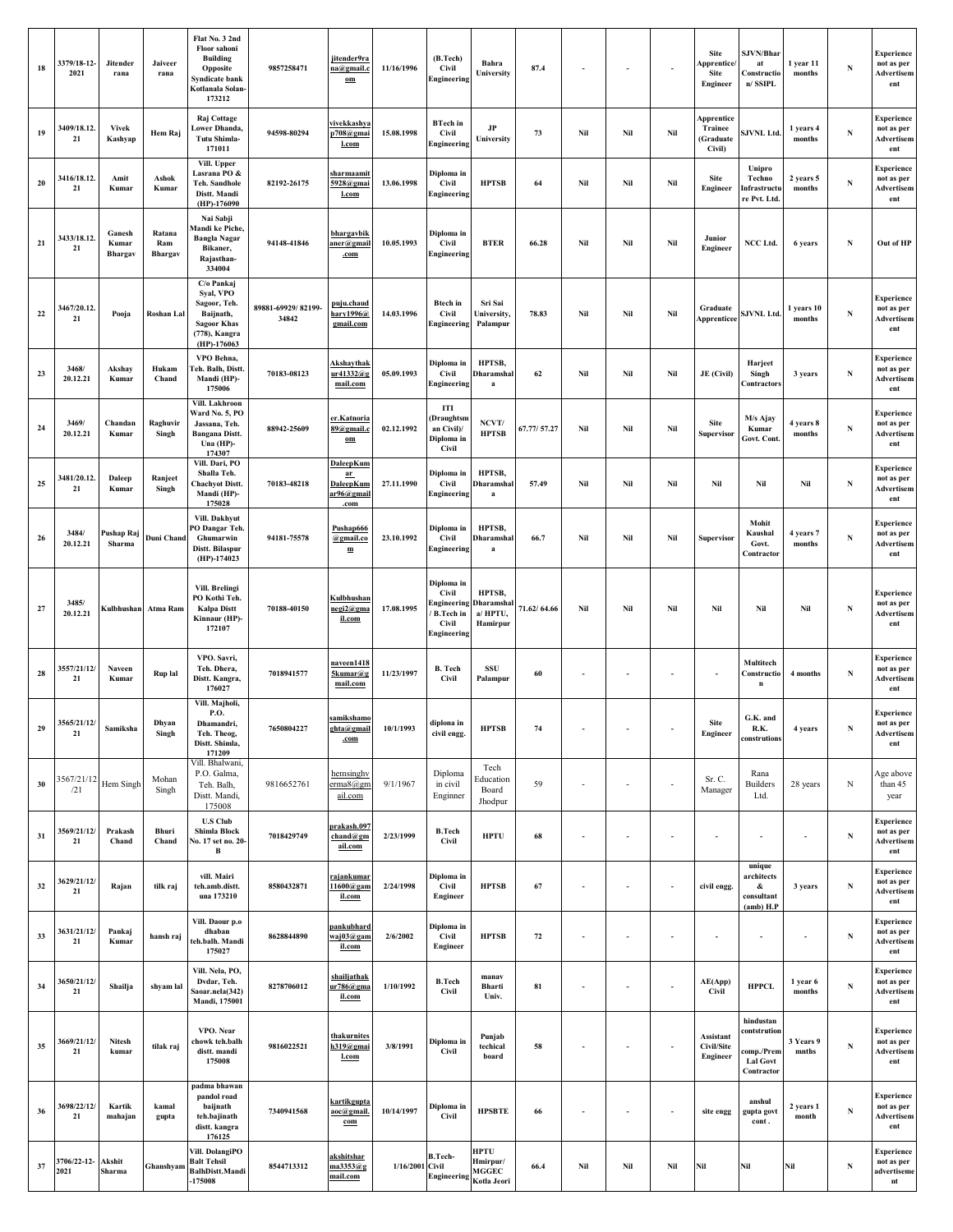| 18 | 3379/18-12-<br>2021      | Jitender<br>rana           | Jaiveer<br>rana          | Flat No. 3 2nd<br>Floor sahoni<br><b>Building</b><br>Opposite<br>Syndicate bank<br>Kotlanala Solan-<br>173212 | 9857258471                  | jitender9ra<br>na@gmail.o<br>$\underline{\mathbf{om}}$              | 11/16/1996             | (B.Tech)<br>Civil<br>Engineering                                        | Bahra<br>University                         | 87.4        |     |                          |                          | <b>Site</b><br>Apprentice/<br><b>Site</b><br>Engineer | SJVN/Bhar<br>at<br>Constructio<br>n/ SSIPL                               | 1 year 11<br>months  | N           | <b>Experience</b><br>not as per<br>Advertisem<br>ent |
|----|--------------------------|----------------------------|--------------------------|---------------------------------------------------------------------------------------------------------------|-----------------------------|---------------------------------------------------------------------|------------------------|-------------------------------------------------------------------------|---------------------------------------------|-------------|-----|--------------------------|--------------------------|-------------------------------------------------------|--------------------------------------------------------------------------|----------------------|-------------|------------------------------------------------------|
| 19 | 3409/18.12.<br>21        | <b>Vivek</b><br>Kashyap    | Hem Raj                  | Raj Cottage<br><b>Lower Dhanda</b><br><b>Tutu Shimla-</b><br>171011                                           | 94598-80294                 | vivekkashva<br>p708@gmai<br>l.com                                   | 15.08.1998             | <b>BTech</b> in<br>Civil<br>Engineering                                 | JP<br>University                            | 73          | Nil | Nil                      | Nil                      | Apprentice<br>Trainee<br>(Graduate<br>Civil)          | <b>SJVNL Ltd.</b>                                                        | 1 years 4<br>months  | ${\bf N}$   | <b>Experience</b><br>not as per<br>Advertisem<br>ent |
| 20 | 3416/18.12.<br>21        | Amit<br>Kumar              | Ashok<br>Kumar           | Vill. Upper<br>Lasrana PO &<br><b>Teh. Sandhole</b><br>Distt. Mandi<br>(HP)-176090                            | 82192-26175                 | <u>sharmaamit</u><br>5928@gmai<br>l.com                             | 13.06.1998             | Diploma in<br>Civil<br>Engineering                                      | <b>HPTSB</b>                                | 64          | Nil | Nil                      | Nil                      | Site<br>Engineer                                      | Unipro<br>Techno<br>Infrastructu<br>re Pvt. Ltd.                         | 2 years 5<br>months  | N           | Experience<br>not as per<br>Advertisem<br>ent        |
| 21 | 3433/18.12.<br>21        | Ganesh<br>Kumar<br>Bhargav | Ratana<br>Ram<br>Bhargav | Nai Sabji<br>Mandi ke Piche,<br><b>Bangla Nagar</b><br>Bikaner,<br>Rajasthan-<br>334004                       | 94148-41846                 | <b>bhargavbil</b><br>aner@gmai<br>.com                              | 10.05.1993             | Diploma in<br>Civil<br>Engineering                                      | <b>BTER</b>                                 | 66.28       | Nil | Nil                      | Nil                      | Junior<br>Engineer                                    | NCC Ltd.                                                                 | 6 years              | N           | Out of HP                                            |
| 22 | 3467/20.12.<br>21        | Pooja                      | Roshan Lal               | C/o Pankaj<br>Syal, VPO<br>Sagoor, Teh.<br>Baijnath,<br><b>Sagoor Khas</b><br>(778), Kangra<br>(HP)-176063    | 89881-69929/82199-<br>34842 | puju.chaud<br>hary1996@<br>gmail.com                                | 14.03.1996             | <b>Btech</b> in<br>Civil<br>Engineering                                 | Sri Sai<br><b>University</b><br>Palampur    | 78.83       | Nil | Nil                      | Nil                      | Graduate<br>Apprenticee                               | SJVNL Ltd.                                                               | 1 years 10<br>months | N           | <b>Experience</b><br>not as per<br>Advertisem<br>ent |
| 23 | 3468/<br>20.12.21        | Akshav<br>Kumar            | Hukam<br>Chand           | VPO Behna,<br><b>Teh. Balh, Distt</b><br>Mandi (HP)-<br>175006                                                | 70183-08123                 | <u>Akshavthak</u><br>ur41332@g<br>mail.com                          | 05.09.1993             | Diploma in<br>Civil<br>Engineering                                      | HPTSB,<br>Dharamshal<br>a                   | 62          | Nil | Nil                      | Nil                      | JE (Civil)                                            | Harjeet<br>Singh<br>Contractors                                          | 3 years              | $\mathbf N$ | Experience<br>not as per<br>Advertisem<br>ent        |
| 24 | 3469/<br>20.12.21        | Chandan<br>Kumar           | Raghuvir<br>Singh        | Vill. Lakhroon<br>Ward No. 5, PO<br>Jassana, Teh.<br><b>Bangana Distt.</b><br>Una (HP)-<br>174307             | 88942-25609                 | er.Katnoria<br>89@gmail.c<br>$om$                                   | 02.12.1992             | П<br>(Draughtsm<br>an Civil)/<br>Diploma in<br>Civil                    | NCVT/<br><b>HPTSB</b>                       | 67.77/57.27 | Nil | Nil                      | Nil                      | <b>Site</b><br>Supervisor                             | M/s Ajay<br>Kumar<br>Govt. Cont.                                         | 4 years 8<br>months  | N           | Experience<br>not as per<br>Advertisem<br>ent        |
| 25 | 3481/20.12.<br>21        | Daleep<br>Kumar            | Ranjeet<br>Singh         | Vill. Dari, PO<br>Shalla Teh.<br><b>Chachyot Distt.</b><br>Mandi (HP)-<br>175028                              | 70183-48218                 | DaleepKum<br>$\mathbf{a}$<br><b>DaleepKum</b><br>ar96@gmail<br>.com | 27.11.1990             | Diploma in<br>Civil<br>Engineering                                      | HPTSB,<br>Dharamshal<br>a                   | 57.49       | Nil | Nil                      | Nil                      | Nil                                                   | Nil                                                                      | Nil                  | N           | Experience<br>not as per<br>Advertisem<br>ent        |
| 26 | 3484/<br>20.12.21        | Pushap Raj<br>Sharma       | Duni Chand               | Vill. Dakhyut<br>PO Dangar Teh<br>Ghumarwin<br>Distt. Bilaspur<br>(HP)-174023                                 | 94181-75578                 | Pushap666<br>@gmail.co<br>${\bf m}$                                 | 23.10.1992             | Diploma in<br>Civil<br>Engineering                                      | HPTSB,<br>Dharamshal<br>a                   | 66.7        | Nil | Nil                      | Nil                      | Supervisor                                            | Mohit<br>Kaushal<br>Govt.<br>Contractor                                  | 4 years 7<br>months  | N           | Experience<br>not as per<br>Advertisem<br>ent        |
| 27 | 3485/<br>20.12.21        | Kulbhushan                 | Atma Ram                 | Vill. Brelingi<br>PO Kothi Teh.<br><b>Kalpa Distt</b><br>Kinnaur (HP)-<br>172107                              | 70188-40150                 | Kulbhushar<br>negi2@gma<br>il.com                                   | 17.08.1995             | Diploma in<br>Civil<br>Engineering<br>B.Tech in<br>Civil<br>Engineering | HPTSB,<br>Dharamshal<br>a/HPTU,<br>Hamirpur | 71.62/64.66 | Nil | Nil                      | Nil                      | Nil                                                   | Nil                                                                      | Nil                  | N           | Experience<br>not as per<br>Advertisem<br>ent        |
| 28 | 3557/21/12/<br>21        | Naveen<br>Kumar            | Rup lal                  | VPO. Savri,<br>Teh. Dhera,<br>Distt. Kangra,<br>176027                                                        | 7018941577                  | naveen1418<br>5kumar@g<br>mail.com                                  | 11/23/1997             | <b>B.</b> Tech<br>Civil                                                 | SSU<br>Palampur                             | 60          |     |                          |                          | ×,                                                    | Multitech<br>Constructio<br>$\mathbf{n}$                                 | 4 months             | N           | Experience<br>not as per<br>Advertisem<br>ent        |
|    | 3565/21/12/<br>$\bf{21}$ | Samiksha                   | Dhyan<br>Singh           | Vill. Majholi,<br>P.O.<br>Dhamandri,<br>Teh. Theog,<br>Distt. Shimla,<br>171209                               | 7650804227                  | samikshamo<br>.com                                                  | $ehta@gmail$ 10/1/1993 | diplona in<br>civil engg.                                               | <b>HPTSB</b>                                | 74          |     |                          |                          | <b>Site</b><br>Engineer                               | G.K. and<br>R.K.<br>construtions                                         | 4 years              | N           | <b>Experience</b><br>not as per<br>Advertisem<br>ent |
| 30 | 3567/21/12<br>/21        | Hem Singh                  | Mohan<br>Singh           | Vill. Bhalwani,<br>P.O. Galma,<br>Teh. Balh,<br>Distt. Mandi,<br>175008                                       | 9816652761                  | hemsinghy<br>erma8@gm<br>ail.com                                    | 9/1/1967               | Diploma<br>in civil<br>Enginner                                         | Tech<br>Education<br>Board<br>Jhodpur       | 59          |     | $\sim$                   |                          | Sr. C.<br>Manager                                     | Rana<br>Builders<br>Ltd.                                                 | 28 years             | $_{\rm N}$  | Age above<br>than 45<br>year                         |
| 31 | 3569/21/12/<br>21        | Prakash<br>Chand           | Bhuri<br>Chand           | <b>U.S Club</b><br><b>Shimla Block</b><br>No. 17 set no. 20-<br>В                                             | 7018429749                  | prakash.097<br>chand@gm<br>ail.com                                  | 2/23/1999              | <b>B.Tech</b><br>Civil                                                  | <b>HPTU</b>                                 | 68          |     | $\sim$                   |                          | $\sim$                                                |                                                                          | ٠                    | N           | Experience<br>not as per<br>Advertisem<br>ent        |
| 32 | 3629/21/12/<br>21        | Rajan                      | tilk raj                 | vill. Mairi<br>teh.amb.distt.<br>una 173210                                                                   | 8580432871                  | rajankumar<br>$11600$ @gam<br>il.com                                | 2/24/1998              | Diploma in<br>Civil<br>Engineer                                         | <b>HPTSB</b>                                | 67          |     | $\overline{\phantom{a}}$ | $\overline{\phantom{a}}$ | civil engg.                                           | unique<br>architects<br>&<br>consultant<br>(amb) H.P                     | 3 years              | ${\bf N}$   | Experience<br>not as per<br>Advertisem<br>ent        |
| 33 | 3631/21/12/<br>21        | Pankaj<br>Kumar            | hansh raj                | Vill. Daour p.o<br>dhaban<br>eh.balh. Mandi<br>175027                                                         | 8628844890                  | pankubhard<br>waj03@gam<br>il.com                                   | 2/6/2002               | Diploma in<br>Civil<br>Engineer                                         | <b>HPTSB</b>                                | 72          |     |                          |                          |                                                       |                                                                          |                      | ${\bf N}$   | Experience<br>not as per<br>Advertisem<br>ent        |
| 34 | 3650/21/12/<br>21        | Shailja                    | shyam lal                | Vill. Nela, PO,<br>Dvdar, Teh.<br>Saoar.nela(342)<br>Mandi, 175001                                            | 8278706012                  | shailjathak<br>r786@gma<br>il.com                                   | 1/10/1992              | <b>B.Tech</b><br>Civil                                                  | manav<br>Bharti<br>Univ.                    | 81          |     | $\sim$                   | $\overline{\phantom{a}}$ | AE(App)<br>Civil                                      | <b>HPPCL</b>                                                             | 1 year 6<br>months   | N           | Experience<br>not as per<br>Advertisem<br>ent        |
| 35 | 3669/21/12/<br>21        | Nitesh<br>kumar            | tilak raj                | VPO. Near<br>chowk teh.balh<br>distt. mandi<br>175008                                                         | 9816022521                  | <b>thakurnites</b><br>h319@gmai<br>l.com                            | 3/8/1991               | Diploma in<br>Civil                                                     | Punjab<br>techical<br>board                 | 58          |     |                          | $\overline{\phantom{a}}$ | Assistant<br>Civil/Site<br>Engineer                   | hindustan<br>contstrution<br>:omp./Prem<br><b>Lal Govt</b><br>Contractor | 3 Years 9<br>mnths   | N           | <b>Experience</b><br>not as per<br>Advertisem<br>ent |
| 36 | 3698/22/12/<br>21        | Kartik<br>mahajan          | kamal<br>gupta           | padma bhawan<br>pandol road<br>baijnath<br>teh.bajinath<br>distt. kangra<br>176125                            | 7340941568                  | kartikgupta<br>aoc@gmail<br>com                                     | 10/14/1997             | Diploma in<br><b>Civil</b>                                              | <b>HPSBTE</b>                               | 66          |     | $\sim$                   |                          | site engg                                             | anshul<br>gupta govt<br>cont.                                            | 2 years 1<br>month   | N           | Experience<br>not as per<br>Advertisem<br>ent        |
| 37 | 3706/22-12-<br>2021      | Akshit<br>Sharma           | Ghanshyam                | Vill. DolangiPO<br><b>Balt Tehsil</b><br><b>BalhDistt.Mandi</b><br>-175008                                    | 8544713312                  | <u>akshitshar</u><br>ma3353@g<br>mail.com                           | 1/16/2001 Civil        | <b>B.Tech-</b><br>Engineering                                           | HPTU<br>Hmirpur/<br>MGGEC<br>Kotla Jeori    | 66.4        | Nil | Nil                      | Nil                      | Nil                                                   | Nil                                                                      | Nil                  | ${\bf N}$   | Experience<br>not as per<br>advertiseme<br>nt        |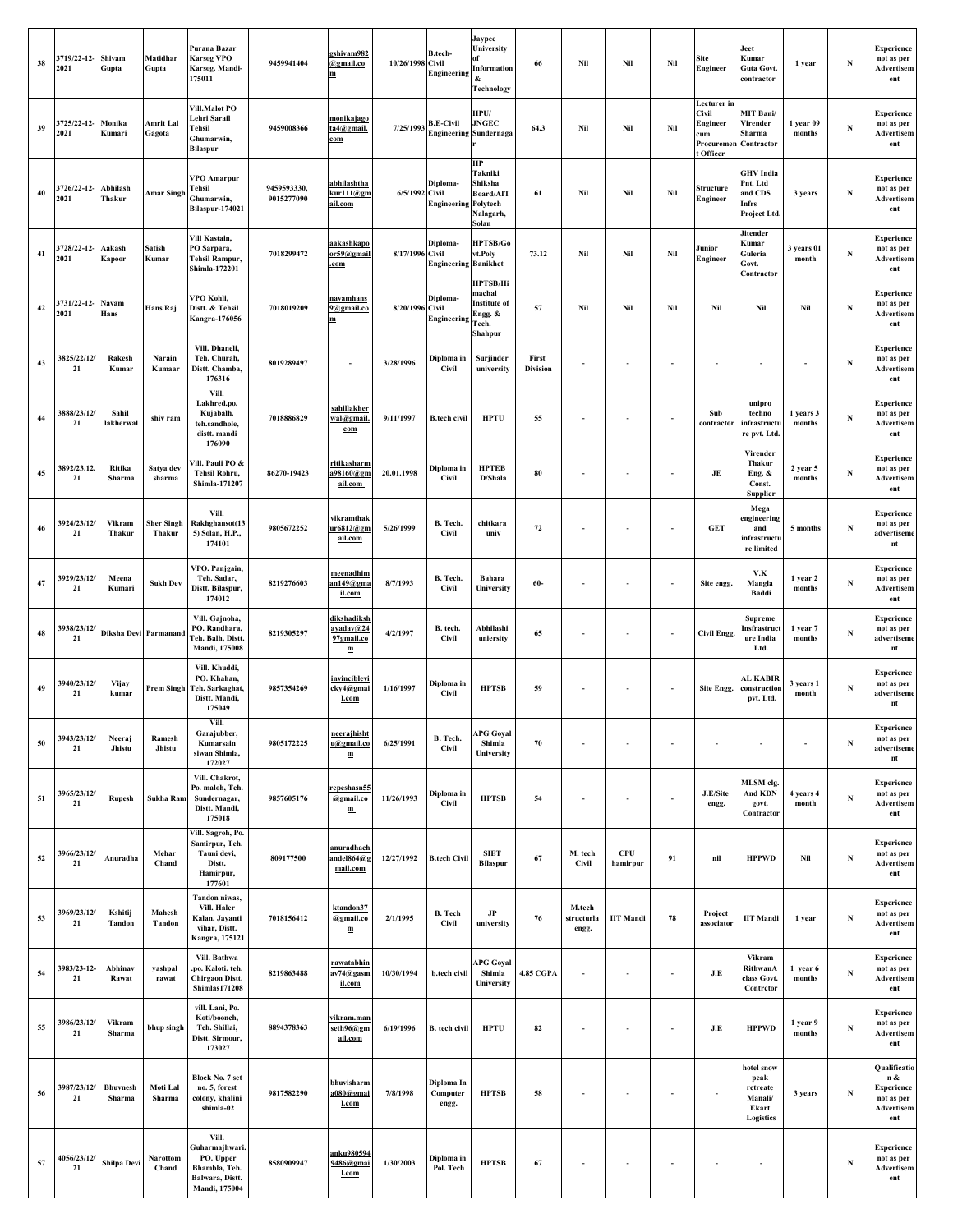| 38       | 3719/22-12- Shivam<br>2021 | Gupta                     | Matidhar<br>Gupta           | Purana Bazar<br><b>Karsog VPO</b><br>Karsog. Mandi-<br>175011                             | 9459941404                | gshivam982<br>@gmail.co<br>m                            | 10/26/1998 Civil | B.tech-<br>Engineering                            | Jaypee<br>University<br>Information<br>&<br><b>Technology</b>                   | 66                       | Nil                           | Nil              | Nil                      | Site<br>Engineer                                                   | Jeet<br>Kumar<br>Guta Govt.<br>contractor                        | 1 year              | ${\bf N}$   | Experience<br>not as per<br>Advertisem<br>ent                        |
|----------|----------------------------|---------------------------|-----------------------------|-------------------------------------------------------------------------------------------|---------------------------|---------------------------------------------------------|------------------|---------------------------------------------------|---------------------------------------------------------------------------------|--------------------------|-------------------------------|------------------|--------------------------|--------------------------------------------------------------------|------------------------------------------------------------------|---------------------|-------------|----------------------------------------------------------------------|
| 39       | 3725/22-12- Monika<br>2021 | Kumari                    | Amrit Lal<br>Gagota         | Vill.Malot PO<br>Lehri Sarail<br>Tehsil<br>Ghumarwin,<br><b>Bilaspur</b>                  | 9459008366                | <u>monikajago</u><br>ta4@gmail.<br>$_{\rm com}$         | 7/25/1993        | <b>B.E-Civil</b><br><b>Engineering Sundernaga</b> | HPU/<br><b>JNGEC</b>                                                            | 64.3                     | Nil                           | Nil              | Nil                      | Lecturer in<br>Civil<br>Engineer<br>cum<br>Procuremen<br>t Officer | <b>MIT Bani/</b><br>Virender<br>Sharma<br>Contractor             | 1 year 09<br>months | N           | Experience<br>not as per<br>Advertisem<br>ent                        |
| 40       | 3726/22-12-<br>2021        | Abhilash<br>Thakur        | Amar Singh                  | VPO Amarpur<br>Tehsil<br>Ghumarwin,<br>Bilaspur-174021                                    | 9459593330,<br>9015277090 | abhilashtha<br>curl11@gm<br><u>ail.com</u>              | 6/5/1992 Civil   | Diploma-<br><b>Engineering Polytech</b>           | HР<br>Takniki<br>Shiksha<br>Board/AIT<br>Nalagarh,<br>Solan                     | 61                       | Nil                           | Nil              | Nil                      | Structure<br>Engineer                                              | <b>GHV</b> India<br>Pnt. Ltd<br>and CDS<br>Infrs<br>Project Ltd. | 3 years             | $\mathbf N$ | Experience<br>not as per<br>Advertisem<br>ent                        |
| 41       | 3728/22-12-<br>2021        | Aakash<br>Kapoor          | Satish<br>Kumar             | Vill Kastain,<br>PO Sarpara,<br>Tehsil Rampur,<br>Shimla-172201                           | 7018299472                | aakashkapo<br>or59@gmail<br>com                         | 8/17/1996 Civil  | Diploma-<br><b>Engineering Banikhet</b>           | HPTSB/Go<br>vt.Poly                                                             | 73.12                    | Nil                           | Nil              | Nil                      | Junior<br>Engineer                                                 | <b>Jitender</b><br>Kumar<br>Guleria<br>Govt.<br>Contractor       | 3 years 01<br>month | N           | Experience<br>not as per<br>Advertisem<br>ent                        |
| 42       | 3731/22-12- Navam<br>2021  | Hans                      | Hans Raj                    | VPO Kohli,<br>Distt. & Tehsil<br><b>Kangra-176056</b>                                     | 7018019209                | <u>navamhans</u><br>9@gmail.co<br>$\mathbf m$           | 8/20/1996 Civil  | Diploma-<br>Engineering                           | <b>HPTSB/Hi</b><br>machal<br><b>Institute of</b><br>Engg. &<br>Tech.<br>Shahpur | 57                       | Nil                           | Nil              | Nil                      | Nil                                                                | Nil                                                              | Nil                 | N           | Experience<br>not as per<br>Advertisem<br>ent                        |
| 43       | 3825/22/12/<br>21          | Rakesh<br>Kumar           | Narain<br>Kumaar            | Vill. Dhaneli,<br>Teh. Churah,<br>Distt. Chamba,<br>176316                                | 8019289497                | $\overline{\phantom{a}}$                                | 3/28/1996        | Diploma in<br><b>Civil</b>                        | Surjinder<br>university                                                         | First<br><b>Division</b> | ×,                            | ٠                | ×,                       | ٠                                                                  | ٠                                                                | ٠                   | ${\bf N}$   | Experience<br>not as per<br>Advertisem<br>ent                        |
| 44       | 3888/23/12/<br>21          | Sahil<br>lakherwal        | shiv ram                    | Vill.<br>Lakhred.po.<br>Kujabalh.<br>teh.sandhole,<br>distt. mandi<br>176090              | 7018886829                | sahillakher<br>wal@gmail.<br>com                        | 9/11/1997        | <b>B.tech civil</b>                               | <b>HPTU</b>                                                                     | 55                       |                               | ×                | $\sim$                   | Sub<br>contractor                                                  | unipro<br>techno<br>infrastructu<br>re pvt. Ltd.                 | 1 years 3<br>months | ${\bf N}$   | Experience<br>not as per<br>Advertisem<br>ent                        |
| 45       | 3892/23.12.<br>21          | Ritika<br>Sharma          | Satya dev<br>sharma         | Vill. Pauli PO &<br>Tehsil Rohru,<br>Shimla-171207                                        | 86270-19423               | <u>ritikasharm</u><br>$\frac{1}{198160}$ @gm<br>ail.com | 20.01.1998       | Diploma in<br>Civil                               | <b>HPTEB</b><br>D/Shala                                                         | 80                       | ×.                            | ä,               | $\sim$                   | JE                                                                 | Virender<br>Thakur<br>Eng. &<br>Const.<br><b>Supplier</b>        | 2 year 5<br>months  | N           | Experience<br>not as per<br>Advertisem<br>ent                        |
| 46       | 3924/23/12/<br>21          | Vikram<br>Thakur          | <b>Sher Singh</b><br>Thakur | Vill.<br>Rakhghansot(13<br>5) Solan, H.P.,<br>174101                                      | 9805672252                | <u>vikramthak</u><br>ır6812@gm<br>ail.com               | 5/26/1999        | B. Tech.<br>Civil                                 | chitkara<br>univ                                                                | $72\,$                   |                               | ä,               | ÷,                       | <b>GET</b>                                                         | Mega<br>ngineering<br>and<br>infrastructu<br>re limited          | 5 months            | $\mathbf N$ | Experience<br>not as per<br>advertiseme<br>nt                        |
| $\bf 47$ | 3929/23/12/<br>21          | Meena<br>Kumari           | <b>Sukh Dev</b>             | VPO. Panjgain,<br>Teh. Sadar,<br>Distt. Bilaspur,<br>174012                               | 8219276603                | <u>meenadhim</u><br>$an149$ @gma<br>il.com              | 8/7/1993         | B. Tech.<br>Civil                                 | Bahara<br>University                                                            | $60-$                    |                               | ×,               | $\overline{\phantom{a}}$ | Site engg.                                                         | V.K<br>Mangla<br>Baddi                                           | 1 year 2<br>months  | $\mathbf N$ | Experience<br>not as per<br>Advertisem<br>ent                        |
| 48       | 3938/23/12/<br>21          | Diksha Devi Parmanand     |                             | Vill. Gajnoha,<br>PO. Randhara,<br>Teh. Balh, Distt.<br>Mandi, 175008                     | 8219305297                | <u>dikshadiksh</u><br>ayaday@24<br>97gmail.co<br>m      | 4/2/1997         | B. tech.<br><b>Civil</b>                          | Abhilashi<br>uniersity                                                          | 65                       |                               | $\sim$           | $\overline{\phantom{a}}$ | <b>Civil Engg.</b>                                                 | <b>Supreme</b><br>nsfrastruct<br>ure India<br>Ltd.               | 1 year 7<br>months  | $\mathbf N$ | Experience<br>not as per<br>advertiseme<br>nt                        |
| 49       | 3940/23/12/<br>21          | Vijay<br>kumar            | <b>Prem Singh</b>           | Vill. Khuddi,<br>PO. Khahan,<br>Teh. Sarkaghat,<br>Distt. Mandi,<br>175049                | 9857354269                | invinciblevi<br>cky4@gmai<br>l.com                      | 1/16/1997        | Diploma in<br>Civil                               | <b>HPTSB</b>                                                                    | 59                       |                               | ×                | $\overline{\phantom{a}}$ | Site Engg.                                                         | AL KABIR<br>construction<br>pvt. Ltd.                            | 3 years 1<br>month  | N           | Experience<br>not as per<br>advertiseme<br>nt                        |
| 50       | 3943/23/12/<br>$\bf{21}$   | Neeraj<br>Jhistu          | Ramesh<br>Jhistu            | Vill.<br>Garajubber,<br>Kumarsain<br>siwan Shimla,<br>172027                              | 9805172225                | neerajhisht<br>u@gmail.co<br>m                          | 6/25/1991        | B. Tech.<br>Civil                                 | <b>APG Goyal</b><br>Shimla<br>University                                        | 70                       |                               |                  |                          |                                                                    |                                                                  |                     | ${\bf N}$   | experience<br>not as per<br>advertiseme<br>nt                        |
| 51       | 3965/23/12/<br>21          | <b>Rupesh</b>             | Sukha Ram                   | Vill. Chakrot,<br>Po. maloh, Teh.<br>Sundernagar,<br>Distt. Mandi,<br>175018              | 9857605176                | repeshasn55<br>@gmail.co<br>$\mathbf{m}$                | 11/26/1993       | Diploma in<br><b>Civil</b>                        | <b>HPTSB</b>                                                                    | 54                       | Ĭ.                            | ×                | ×                        | J.E/Site<br>engg.                                                  | MLSM clg.<br>And KDN<br>govt.<br>Contractor                      | 4 years 4<br>month  | ${\bf N}$   | Experience<br>not as per<br>Advertisem<br>ent                        |
| 52       | 3966/23/12/<br>21          | Anuradha                  | Mehar<br>Chand              | Vill. Sagroh, Po.<br>Samirpur, Teh.<br>Tauni devi,<br>Distt.<br>Hamirpur,<br>177601       | 809177500                 | <u>anuradhach</u><br>andel864@g<br>mail.com             | 12/27/1992       | <b>B.tech Civil</b>                               | <b>SIET</b><br><b>Bilaspur</b>                                                  | 67                       | M. tech<br><b>Civil</b>       | CPU<br>hamirpur  | 91                       | nil                                                                | <b>HPPWD</b>                                                     | Nil                 | $\mathbf N$ | Experience<br>not as per<br>Advertisem<br>ent                        |
| 53       | 3969/23/12/<br>21          | Kshitij<br>Tandon         | Mahesh<br>Tandon            | Tandon niwas,<br>Vill. Haler<br>Kalan, Jayanti<br>vihar, Distt.<br>Kangra, 175121         | 7018156412                | ktandon37<br>@gmail.co<br>m                             | 2/1/1995         | <b>B.</b> Tech<br><b>Civil</b>                    | JP<br>university                                                                | 76                       | M.tech<br>structurla<br>engg. | <b>IIT Mandi</b> | 78                       | Project<br>associator                                              | <b>IIT Mandi</b>                                                 | 1 year              | ${\bf N}$   | <b>Experience</b><br>not as per<br>Advertisem<br>ent                 |
| 54       | 3983/23-12-<br>21          | Abhinav<br>Rawat          | yashpal<br>rawat            | Vill. Bathwa<br>.po. Kaloti. teh.<br>Chirgaon Distt.<br><b>Shimlas171208</b>              | 8219863488                | <u>rawatabhin</u><br>av74@gasm<br>il.com                | 10/30/1994       | b.tech civil                                      | <b>APG Goyal</b><br>Shimla<br>University                                        | <b>4.85 CGPA</b>         |                               |                  | ÷,                       | J.E                                                                | Vikram<br>RithwanA<br>class Govt.<br>Contretor                   | 1 year 6<br>months  | N           | Experience<br>not as per<br>Advertisem<br>ent                        |
| 55       | 3986/23/12/<br>21          | Vikram<br>Sharma          | bhup singh                  | vill. Lani, Po.<br>Koti/boonch,<br>Teh. Shillai,<br>Distt. Sirmour,<br>173027             | 8894378363                | <u>vikram.man</u><br>seth96@gm<br>ail.com               | 6/19/1996        | B. tech civil                                     | <b>HPTU</b>                                                                     | 82                       |                               |                  | ٠                        | J.E                                                                | <b>HPPWD</b>                                                     | 1 year 9<br>months  | ${\bf N}$   | Experience<br>not as per<br>Advertisem<br>ent                        |
| 56       | 3987/23/12/<br>21          | <b>Bhuvnesh</b><br>Sharma | Moti Lal<br>Sharma          | <b>Block No. 7 set</b><br>no. 5, forest<br>colony, khalini<br>shimla-02                   | 9817582290                | <u>bhuvisharm</u><br>a080@gmai<br>l.com                 | 7/8/1998         | Diploma In<br>Computer<br>engg.                   | <b>HPTSB</b>                                                                    | 58                       |                               | ٠                | $\overline{\phantom{a}}$ |                                                                    | hotel snow<br>peak<br>retreate<br>Manali/<br>Ekart<br>Logistics  | 3 years             | $\mathbf N$ | Qualificatio<br>n &<br>Experience<br>not as per<br>Advertisem<br>ent |
| 57       | 4056/23/12/<br>21          | Shilpa Devi               | Narottom<br>Chand           | Vill.<br>Guharmajhwari.<br>PO. Upper<br>Bhambla, Teh.<br>Balwara, Distt.<br>Mandi, 175004 | 8580909947                | anku980594<br>9486@gmai<br>l.com                        | 1/30/2003        | Diploma in<br>Pol. Tech                           | <b>HPTSB</b>                                                                    | 67                       |                               | ä,               |                          |                                                                    | $\overline{\phantom{a}}$                                         |                     | ${\bf N}$   | Experience<br>not as per<br>Advertisem<br>ent                        |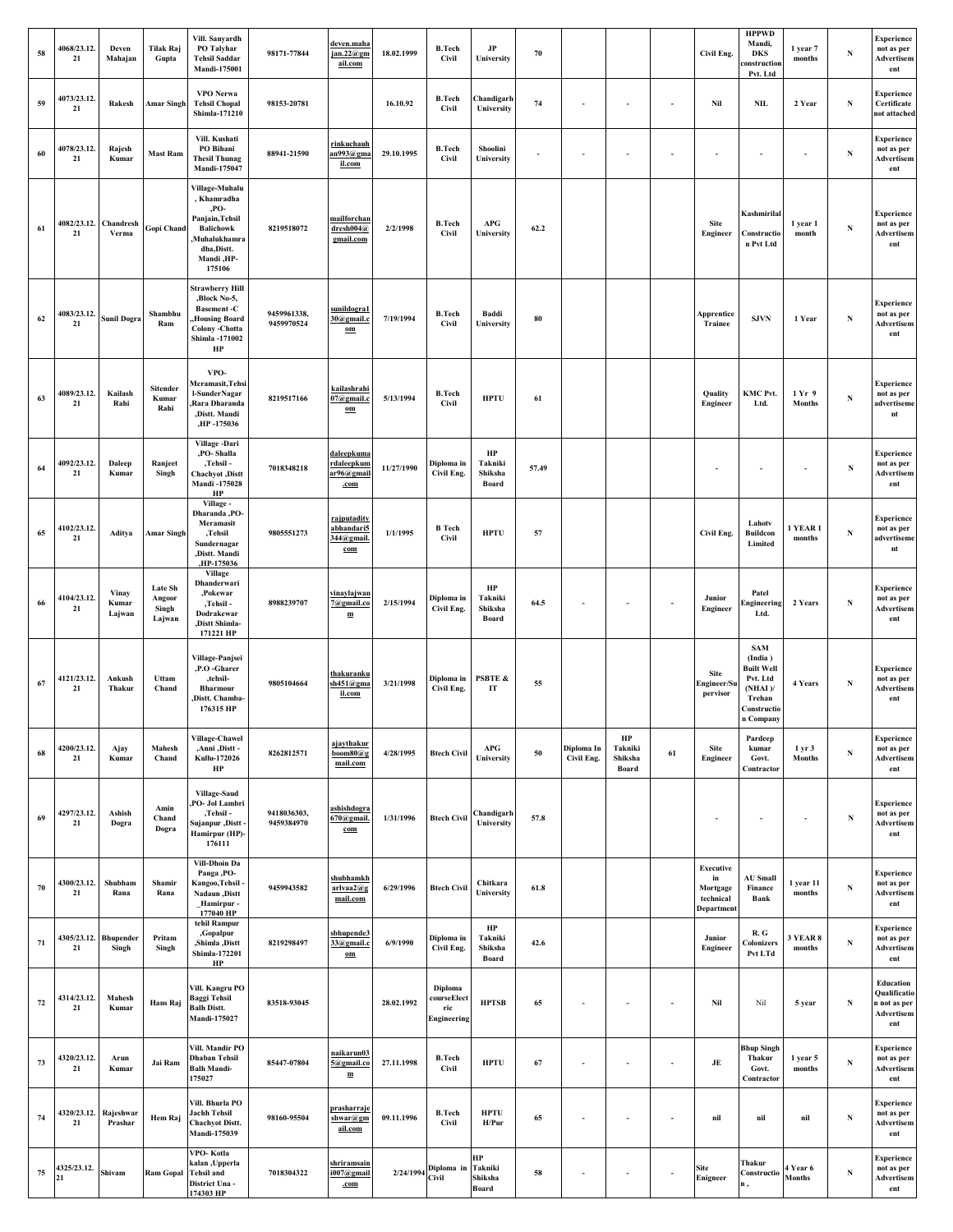| 58     | 4068/23.12.<br>21 | Deven<br>Mahajan          | Tilak Raj<br>Gupta                          | Vill. Sanvardh<br>PO Talyhar<br><b>Tehsil Saddar</b><br>Mandi-175001                                                                | 98171-77844               | deven.maha<br>jan.22@gm<br>ail.com                            | 18.02.1999 | <b>B.Tech</b><br>Civil                       | JP<br>University                  | 70                       |                          |                                   |                          | Civil Eng.                                                    | <b>HPPWD</b><br>Mandi,<br>DKS<br>construction<br>Pvt. Ltd                                                  | 1 year 7<br>months        | $\mathbf N$ | Experience<br>not as per<br>Advertisem<br>ent                  |
|--------|-------------------|---------------------------|---------------------------------------------|-------------------------------------------------------------------------------------------------------------------------------------|---------------------------|---------------------------------------------------------------|------------|----------------------------------------------|-----------------------------------|--------------------------|--------------------------|-----------------------------------|--------------------------|---------------------------------------------------------------|------------------------------------------------------------------------------------------------------------|---------------------------|-------------|----------------------------------------------------------------|
| 59     | 4073/23.12.<br>21 | Rakesh                    | <b>Amar Singh</b>                           | VPO Nerwa<br><b>Tehsil Chopal</b><br>Shimla-171210                                                                                  | 98153-20781               |                                                               | 16.10.92   | <b>B.Tech</b><br><b>Civil</b>                | Chandigarh<br>University          | 74                       |                          |                                   | ٠                        | Nil                                                           | <b>NIL</b>                                                                                                 | 2 Year                    | $\mathbf N$ | Experience<br>Certificate<br>not attached                      |
| 60     | 4078/23.12.<br>21 | Rajesh<br>Kumar           | <b>Mast Ram</b>                             | Vill. Kushati<br>PO Bihani<br><b>Thesil Thunag</b><br>Mandi-175047                                                                  | 88941-21590               | <u>rinkuchauh</u><br>n993@gma<br>il.com                       | 29.10.1995 | <b>B.Tech</b><br>Civil                       | Shoolini<br>University            | $\overline{\phantom{a}}$ | ×                        | $\sim$                            | $\sim$                   | $\sim$                                                        |                                                                                                            |                           | N           | <b>Experience</b><br>not as per<br>Advertisem<br>ent           |
| 61     | 4082/23.12.<br>21 | Chandresh<br>Verma        | Gopi Chand                                  | Village-Muhalu<br>, Khamradha<br>,PO-<br>Panjain, Tehsil<br><b>Balichowk</b><br>Muhalukhamra,<br>dha,Distt.<br>Mandi ,HP-<br>175106 | 8219518072                | mailforchan<br>dresh004@<br>gmail.com                         | 2/2/1998   | <b>B.Tech</b><br>Civil                       | APG<br>University                 | 62.2                     |                          |                                   |                          | Site<br>Engineer                                              | Kashmirilal<br>Constructio<br>n Pvt Ltd                                                                    | 1 year 1<br>month         | $\mathbf N$ | <b>Experience</b><br>not as per<br>Advertisem<br>ent           |
| 62     | 4083/23.12.<br>21 | <b>Sunil Dogra</b>        | Shambhu<br>Ram                              | <b>Strawberry Hill</b><br>,Block No-5,<br><b>Basement-C</b><br>Housing Board,<br>Colony - Chotta<br>Shimla -171002<br>HP            | 9459961338,<br>9459970524 | <u>sunildogra1</u><br>30@gmail.c<br>$\underline{\mathbf{om}}$ | 7/19/1994  | <b>B.Tech</b><br><b>Civil</b>                | Baddi<br>University               | 80                       |                          |                                   |                          | Apprentice<br>Trainee                                         | <b>SJVN</b>                                                                                                | 1 Year                    | $\mathbf N$ | <b>Experience</b><br>not as per<br>Advertisem<br>ent           |
| 63     | 4089/23.12.<br>21 | Kailash<br>Rahi           | Sitender<br>Kumar<br>Rahi                   | VPO-<br>Meramasit,Tehsi<br>l-SunderNagar<br>Rara Dharanda<br>,Distt. Mandi<br>,HP -175036                                           | 8219517166                | kailashrahi<br>$07$ @gmail.c<br>$om$                          | 5/13/1994  | <b>B.Tech</b><br>Civil                       | <b>HPTU</b>                       | 61                       |                          |                                   |                          | Quality<br>Engineer                                           | KMC Pvt.<br>Ltd.                                                                                           | 1 Yr 9<br>Months          | ${\bf N}$   | <b>Experience</b><br>not as per<br>advertiseme<br>nt           |
| 64     | 4092/23.12.<br>21 | Daleep<br>Kumar           | Ranjeet<br>Singh                            | Village -Dari<br>,PO-Shalla<br>,Tehsil -<br>Chachyot ,Distt<br>Mandi -175028<br>HP                                                  | 7018348218                | daleepkuma<br>rdaleepkum<br>ar96@gmail<br>.com                | 11/27/1990 | Diploma in<br>Civil Eng.                     | HP<br>Takniki<br>Shiksha<br>Board | 57.49                    |                          |                                   |                          |                                                               |                                                                                                            |                           | N           | Experience<br>not as per<br>Advertisem<br>ent                  |
| 65     | 4102/23.12.<br>21 | Aditya                    | <b>Amar Singh</b>                           | Village-<br>Dharanda, PO-<br>Meramasit<br>,Tehsil<br>Sundernagar<br>,Distt. Mandi<br>,HP-175036                                     | 9805551273                | rajputadity<br>abhandari5<br>344@gmail.<br>com                | 1/1/1995   | <b>B</b> Tech<br>Civil                       | <b>HPTU</b>                       | 57                       |                          |                                   |                          | Civil Eng.                                                    | Lahotv<br><b>Buildcon</b><br>Limited                                                                       | <b>1 YEAR 1</b><br>months | N           | <b>Experience</b><br>not as per<br>advertiseme<br>nt           |
| 66     | 4104/23.12.<br>21 | Vinay<br>Kumar<br>Lajwan  | <b>Late Sh</b><br>Angoor<br>Singh<br>Lajwan | <b>Village</b><br>Dhanderwari<br>,Pokewar<br>,Tehsil -<br>Dodrakewar<br>,Distt Shimla-<br>171221 HP                                 | 8988239707                | vinavlajwan<br>7@gmail.co<br>$\mathbf m$                      | 2/15/1994  | Diploma in<br>Civil Eng.                     | HP<br>Takniki<br>Shiksha<br>Board | 64.5                     |                          |                                   | ٠                        | Junior<br>Engineer                                            | Patel<br>ngineering<br>Ltd.                                                                                | 2 Years                   | $\mathbf N$ | <b>Experience</b><br>not as per<br>Advertisem<br>ent           |
| 67     | 4121/23.12.<br>21 | Ankush<br>Thakur          | Uttam<br>Chand                              | Village-Panjsei<br>,P.O -Gharer<br>,tehsil-<br><b>Bharmour</b><br>Distt. Chamba-<br>176315 HP                                       | 9805104664                | <u>thakuranku</u><br>sh451@gma<br>il.com                      | 3/21/1998  | Diploma in<br>Civil Eng.                     | <b>PSBTE &amp;</b><br>IT          | 55                       |                          |                                   |                          | <b>Site</b><br>Engineer/St<br>pervisor                        | <b>SAM</b><br>(India)<br><b>Built Well</b><br>Pvt. Ltd<br>$(NHAI)$ /<br>Trehan<br>Constructio<br>n Company | 4 Years                   | N           | <b>Experience</b><br>not as per<br>Advertisem<br>ent           |
| 68     | 4200/23.12.<br>21 | Ajay<br>Kumar             | Mahesh<br>Chand                             | Village-Chawel<br>,Anni ,Distt -<br>Kullu-172026<br>HP                                                                              | 8262812571                | ajaythakur<br>$\mathbf{boom}80@$ g<br>mail.com                | 4/28/1995  | <b>Btech Civil</b>                           | APG<br>University                 | 50                       | Diploma In<br>Civil Eng. | HP<br>Takniki<br>Shiksha<br>Board | 61                       | Site<br>Engineer                                              | Pardeep<br>kumar<br>Govt.<br>Contractor                                                                    | 1 yr 3<br>Months          | $\mathbf N$ | Experience<br>not as per<br>Advertisem<br>ent                  |
| 69     | 4297/23.12.<br>21 | Ashish<br>Dogra           | Amin<br>Chand<br>Dogra                      | Village-Saud<br>PO- Jol Lambri<br>,Tehsil -<br>Sujanpur ,Distt<br>Hamirpur (HP)-<br>176111                                          | 9418036303,<br>9459384970 | ash <u>ishdogra</u><br>$670$ @gmail.<br>com                   | 1/31/1996  | <b>Btech Civil</b>                           | Chandigarh<br>University          | 57.8                     |                          |                                   |                          |                                                               |                                                                                                            |                           | ${\bf N}$   | Experience<br>not as per<br>Advertisem<br>ent                  |
| 70     | 4300/23.12.<br>21 | Shubham<br>Rana           | Shamir<br>Rana                              | Vill-Dhoin Da<br>Panga, PO-<br>Kangoo,Tehsil -<br>Nadaun ,Distt<br>Hamirpur -<br>177040 HP                                          | 9459943582                | <u>shubhamkh</u><br>arlvaa2@g<br>mail.com                     | 6/29/1996  | <b>Btech Civil</b>                           | Chitkara<br>University            | 61.8                     |                          |                                   |                          | <b>Executive</b><br>in<br>Mortgage<br>technical<br>Department | <b>AU Small</b><br>Finance<br>Bank                                                                         | l year 11<br>months       | ${\bf N}$   | Experience<br>not as per<br>Advertisem<br>ent                  |
| 71     | 4305/23.12.<br>21 | <b>Bhupender</b><br>Singh | Pritam<br>Singh                             | tehil Rampur<br>,Gopalpur<br>,Shimla ,Distt<br>Shimla-172201<br>HP                                                                  | 8219298497                | sbhupende3<br>33@gmail.c<br>$\underline{\mathbf{om}}$         | 6/9/1990   | Diploma in<br>Civil Eng.                     | HP<br>Takniki<br>Shiksha<br>Board | 42.6                     |                          |                                   |                          | Junior<br>Engineer                                            | R.G<br>Colonizers<br>Pvt LTd                                                                               | <b>3 YEAR 8</b><br>months | ${\bf N}$   | Experience<br>not as per<br>Advertisem<br>ent                  |
| $72\,$ | 4314/23.12.<br>21 | Mahesh<br>Kumar           | Hans Raj                                    | Vill. Kangru PO<br>Baggi Tehsil<br><b>Balh Distt.</b><br>Mandi-175027                                                               | 83518-93045               |                                                               | 28.02.1992 | Diploma<br>courseElect<br>ric<br>Engineering | <b>HPTSB</b>                      | 65                       | ×,                       | $\overline{\phantom{a}}$          |                          | Nil                                                           | Nil                                                                                                        | 5 year                    | ${\bf N}$   | Education<br>Qualificatio<br>n not as per<br>Advertisem<br>ent |
| 73     | 4320/23.12.<br>21 | Arun<br>Kumar             | Jai Ram                                     | Vill. Mandir PO<br>Dhaban Tehsil<br><b>Balh Mandi-</b><br>175027                                                                    | 85447-07804               | <u>naikarun03</u><br>5@gmail.co<br>$\mathbf m$                | 27.11.1998 | <b>B.Tech</b><br>Civil                       | <b>HPTU</b>                       | 67                       |                          |                                   |                          | $\mathbf{J}\mathbf{E}$                                        | <b>Bhup Singh</b><br>Thakur<br>Govt.<br>Contractor                                                         | 1 year 5<br>months        | N           | Experience<br>not as per<br>Advertisem<br>ent                  |
| 74     | 4320/23.12.<br>21 | Rajeshwar<br>Prashar      | Hem Raj                                     | Vill. Bhurla PO<br><b>Jachh Tehsil</b><br><b>Chachyot Distt.</b><br>Mandi-175039                                                    | 98160-95504               | prasharraje<br>shwar@gm<br>ail.com                            | 09.11.1996 | <b>B.Tech</b><br>Civil                       | <b>HPTU</b><br>H/Pur              | 65                       | $\overline{\phantom{a}}$ | $\overline{\phantom{a}}$          | $\overline{\phantom{a}}$ | nil                                                           | nil                                                                                                        | nil                       | ${\bf N}$   | Experience<br>not as per<br>Advertisem<br>ent                  |
| 75     | 4325/23.12.<br>21 | Shivam                    | <b>Ram Gopal</b>                            | VPO- Kotla<br>kalan ,Upperla<br><b>Tehsil</b> and<br>District Una<br>174303 HP                                                      | 7018304322                | <u>shriramsain</u><br>$1007$ @gmail<br>.com                   |            | $2/24/1994$ Diploma in<br><b>Civil</b>       | HP<br>Takniki<br>Shiksha<br>Board | 58                       | ×,                       | $\sim$                            |                          | Site<br>Enigneer                                              | Thakur<br>Constructio                                                                                      | l Year 6<br><b>Months</b> | ${\bf N}$   | Experience<br>not as per<br>Advertisem<br>ent                  |